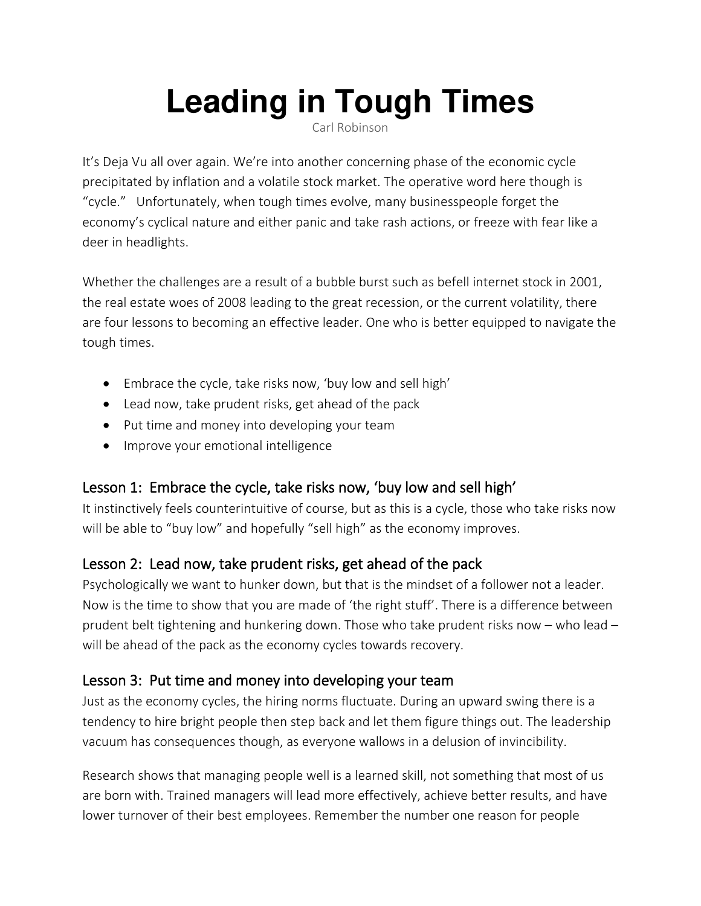# **Leading in Tough Times**

Carl Robinson

It's Deja Vu all over again. We're into another concerning phase of the economic cycle precipitated by inflation and a volatile stock market. The operative word here though is "cycle." Unfortunately, when tough times evolve, many businesspeople forget the economy's cyclical nature and either panic and take rash actions, or freeze with fear like a deer in headlights.

Whether the challenges are a result of a bubble burst such as befell internet stock in 2001, the real estate woes of 2008 leading to the great recession, or the current volatility, there are four lessons to becoming an effective leader. One who is better equipped to navigate the tough times.

- Embrace the cycle, take risks now, 'buy low and sell high'
- Lead now, take prudent risks, get ahead of the pack
- Put time and money into developing your team
- Improve your emotional intelligence

## Lesson 1: Embrace the cycle, take risks now, 'buy low and sell high'

It instinctively feels counterintuitive of course, but as this is a cycle, those who take risks now will be able to "buy low" and hopefully "sell high" as the economy improves.

#### Lesson 2: Lead now, take prudent risks, get ahead of the pack

Psychologically we want to hunker down, but that is the mindset of a follower not a leader. Now is the time to show that you are made of 'the right stuff'. There is a difference between prudent belt tightening and hunkering down. Those who take prudent risks now – who lead – will be ahead of the pack as the economy cycles towards recovery.

#### Lesson 3: Put time and money into developing your team

Just as the economy cycles, the hiring norms fluctuate. During an upward swing there is a tendency to hire bright people then step back and let them figure things out. The leadership vacuum has consequences though, as everyone wallows in a delusion of invincibility.

Research shows that managing people well is a learned skill, not something that most of us are born with. Trained managers will lead more effectively, achieve better results, and have lower turnover of their best employees. Remember the number one reason for people